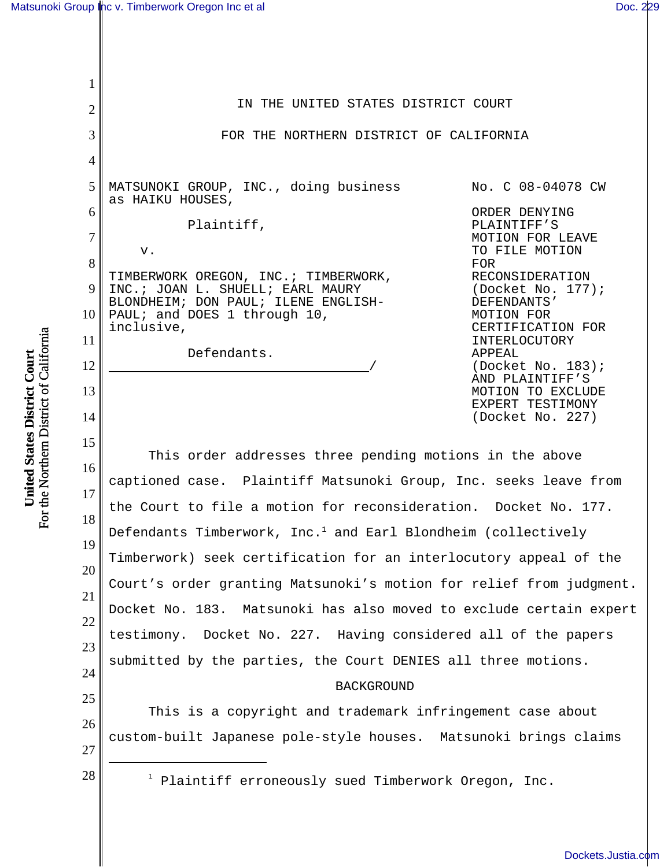## [Matsunoki Group Inc v. Timberwork Oregon Inc et al](http://dockets.justia.com/docket/california/candce/4:2008cv04078/206522/) **[Doc. 229](http://docs.justia.com/cases/federal/district-courts/california/candce/4:2008cv04078/206522/229/)** and Doc. 229

1

2

3

4

5

6

7

8

9

10

11

12

13

14

15

| IN THE UNITED STATES DISTRICT COURT                                                                                                                            |                                                                                                                              |
|----------------------------------------------------------------------------------------------------------------------------------------------------------------|------------------------------------------------------------------------------------------------------------------------------|
| FOR THE NORTHERN DISTRICT OF CALIFORNIA                                                                                                                        |                                                                                                                              |
| MATSUNOKI GROUP, INC., doing business<br>as HAIKU HOUSES,                                                                                                      | No. C 08-04078 CW<br>ORDER DENYING                                                                                           |
| Plaintiff,<br>$V$ .                                                                                                                                            | PLAINTIFF'S<br>MOTION FOR LEAVE<br>TO FILE MOTION<br>FOR                                                                     |
| TIMBERWORK OREGON, INC. ; TIMBERWORK,<br>INC.; JOAN L. SHUELL; EARL MAURY<br>BLONDHEIM; DON PAUL; ILENE ENGLISH-<br>PAUL; and DOES 1 through 10,<br>inclusive, | RECONSIDERATION<br>(Docket No. $177$ );<br>DEFENDANTS'<br>MOTION FOR<br>CERTIFICATION FOR                                    |
| Defendants.                                                                                                                                                    | INTERLOCUTORY<br>APPEAL<br>(Docket No. 183);<br>AND PLAINTIFF'S<br>MOTION TO EXCLUDE<br>EXPERT TESTIMONY<br>(Docket No. 227) |

16 17 18 19 20 21 22 23 24 This order addresses three pending motions in the above captioned case. Plaintiff Matsunoki Group, Inc. seeks leave from the Court to file a motion for reconsideration. Docket No. 177. Defendants Timberwork, Inc. $^{\rm 1}$  and Earl Blondheim (collectively Timberwork) seek certification for an interlocutory appeal of the Court's order granting Matsunoki's motion for relief from judgment. Docket No. 183. Matsunoki has also moved to exclude certain expert testimony. Docket No. 227. Having considered all of the papers submitted by the parties, the Court DENIES all three motions.

## BACKGROUND

This is a copyright and trademark infringement case about custom-built Japanese pole-style houses. Matsunoki brings claims

27

25

26

 $28$  |  $1$  Plaintiff erroneously sued Timberwork Oregon, Inc.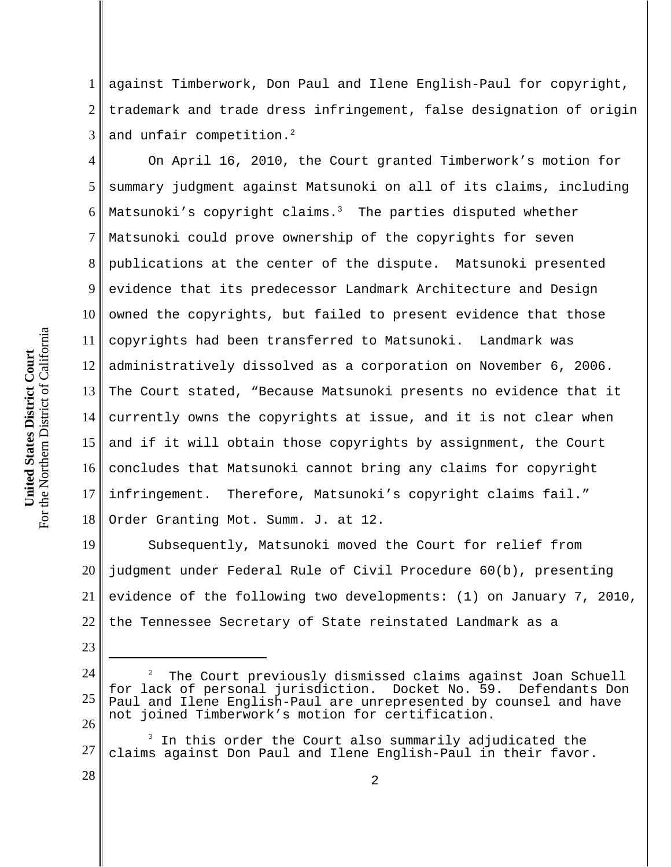1 2 3 against Timberwork, Don Paul and Ilene English-Paul for copyright, trademark and trade dress infringement, false designation of origin and unfair competition.<sup>2</sup>

4 5 6 7 8 9 10 11 12 13 14 15 16 17 18 On April 16, 2010, the Court granted Timberwork's motion for summary judgment against Matsunoki on all of its claims, including Matsunoki's copyright claims.<sup>3</sup> The parties disputed whether Matsunoki could prove ownership of the copyrights for seven publications at the center of the dispute. Matsunoki presented evidence that its predecessor Landmark Architecture and Design owned the copyrights, but failed to present evidence that those copyrights had been transferred to Matsunoki. Landmark was administratively dissolved as a corporation on November 6, 2006. The Court stated, "Because Matsunoki presents no evidence that it currently owns the copyrights at issue, and it is not clear when and if it will obtain those copyrights by assignment, the Court concludes that Matsunoki cannot bring any claims for copyright infringement. Therefore, Matsunoki's copyright claims fail." Order Granting Mot. Summ. J. at 12.

19 20 21 22 Subsequently, Matsunoki moved the Court for relief from judgment under Federal Rule of Civil Procedure 60(b), presenting evidence of the following two developments: (1) on January 7, 2010, the Tennessee Secretary of State reinstated Landmark as a

24 25 26 2 The Court previously dismissed claims against Joan Schuell for lack of personal jurisdiction. Docket No. 59. Defendants Don Paul and Ilene English-Paul are unrepresented by counsel and have not joined Timberwork's motion for certification.

27 3 In this order the Court also summarily adjudicated the claims against Don Paul and Ilene English-Paul in their favor.

23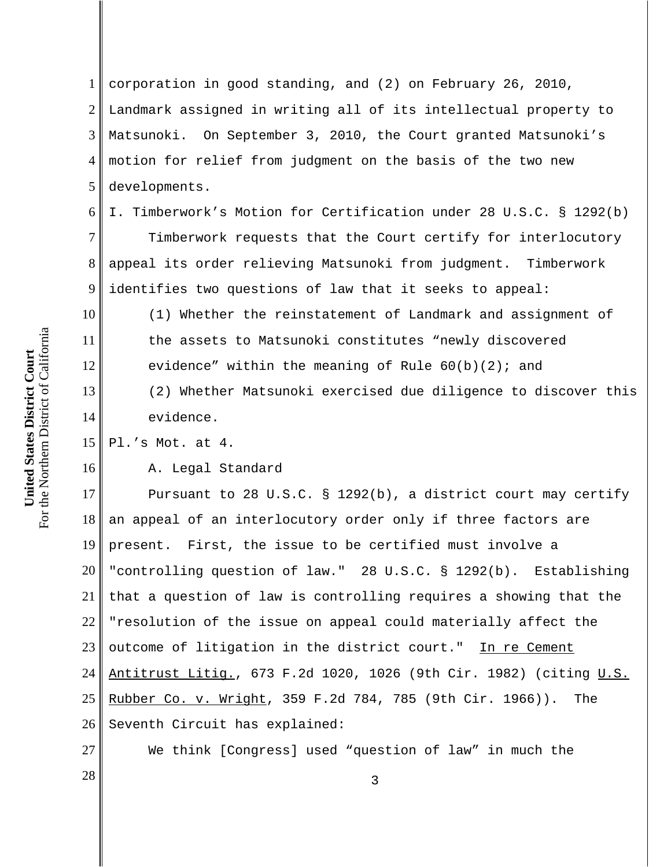1 2 3 4 5 corporation in good standing, and (2) on February 26, 2010, Landmark assigned in writing all of its intellectual property to Matsunoki. On September 3, 2010, the Court granted Matsunoki's motion for relief from judgment on the basis of the two new developments.

6 I. Timberwork's Motion for Certification under 28 U.S.C. § 1292(b)

7 8 9 Timberwork requests that the Court certify for interlocutory appeal its order relieving Matsunoki from judgment. Timberwork identifies two questions of law that it seeks to appeal:

(1) Whether the reinstatement of Landmark and assignment of the assets to Matsunoki constitutes "newly discovered evidence" within the meaning of Rule  $60(b)(2)$ ; and (2) Whether Matsunoki exercised due diligence to discover this

evidence.

15 Pl.'s Mot. at 4.

A. Legal Standard

17 18 19 20 21 22 23 24 25 26 Pursuant to 28 U.S.C. § 1292(b), a district court may certify an appeal of an interlocutory order only if three factors are present. First, the issue to be certified must involve a "controlling question of law." 28 U.S.C. § 1292(b). Establishing that a question of law is controlling requires a showing that the "resolution of the issue on appeal could materially affect the outcome of litigation in the district court." In re Cement Antitrust Litig., 673 F.2d 1020, 1026 (9th Cir. 1982) (citing U.S. Rubber Co. v. Wright, 359 F.2d 784, 785 (9th Cir. 1966)). The Seventh Circuit has explained:

We think [Congress] used "question of law" in much the

For the Northern District of California For the Northern District of California United States District Court **United States District Court**

10

11

12

13

14

16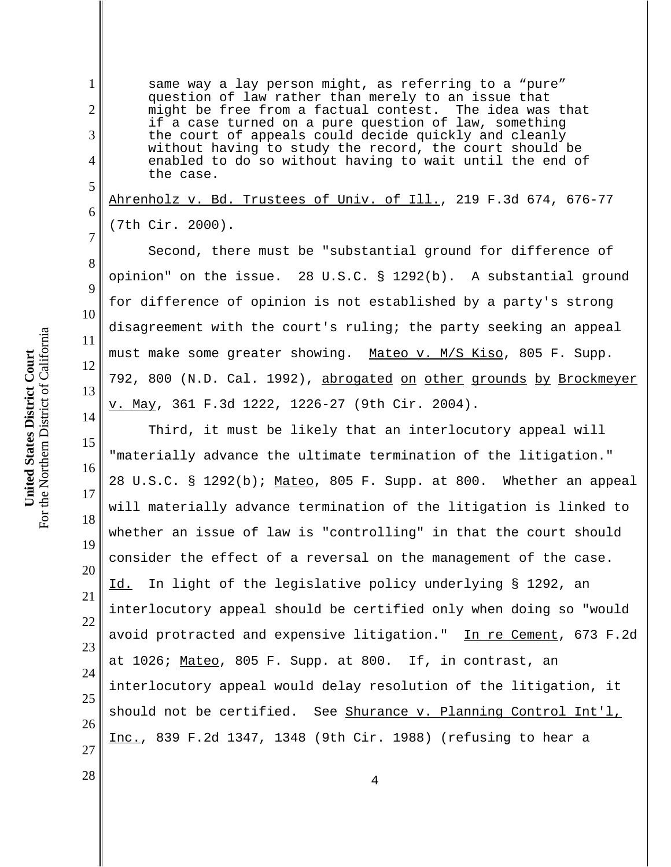same way a lay person might, as referring to a "pure" question of law rather than merely to an issue that<br>might be free from a factual contest. The idea was that might be free from a factual contest. if a case turned on a pure question of law, something the court of appeals could decide quickly and cleanly without having to study the record, the court should be enabled to do so without having to wait until the end of the case.

Ahrenholz v. Bd. Trustees of Univ. of Ill., 219 F.3d 674, 676-77 (7th Cir. 2000).

Second, there must be "substantial ground for difference of opinion" on the issue. 28 U.S.C. § 1292(b). A substantial ground for difference of opinion is not established by a party's strong disagreement with the court's ruling; the party seeking an appeal must make some greater showing. Mateo v. M/S Kiso, 805 F. Supp. 792, 800 (N.D. Cal. 1992), abrogated on other grounds by Brockmeyer v. May, 361 F.3d 1222, 1226-27 (9th Cir. 2004).

15 16 17 18 19 20 21 22 23 24 25 26 27 Third, it must be likely that an interlocutory appeal will "materially advance the ultimate termination of the litigation." 28 U.S.C. § 1292(b); Mateo, 805 F. Supp. at 800. Whether an appeal will materially advance termination of the litigation is linked to whether an issue of law is "controlling" in that the court should consider the effect of a reversal on the management of the case. Id. In light of the legislative policy underlying § 1292, an interlocutory appeal should be certified only when doing so "would avoid protracted and expensive litigation." In re Cement, 673 F.2d at 1026; Mateo, 805 F. Supp. at 800. If, in contrast, an interlocutory appeal would delay resolution of the litigation, it should not be certified. See Shurance v. Planning Control Int'l, Inc., 839 F.2d 1347, 1348 (9th Cir. 1988) (refusing to hear a

1

2

3

4

5

6

7

8

9

10

11

12

13

14

 $\begin{array}{c|c|c|c} 28 & 4 \end{array}$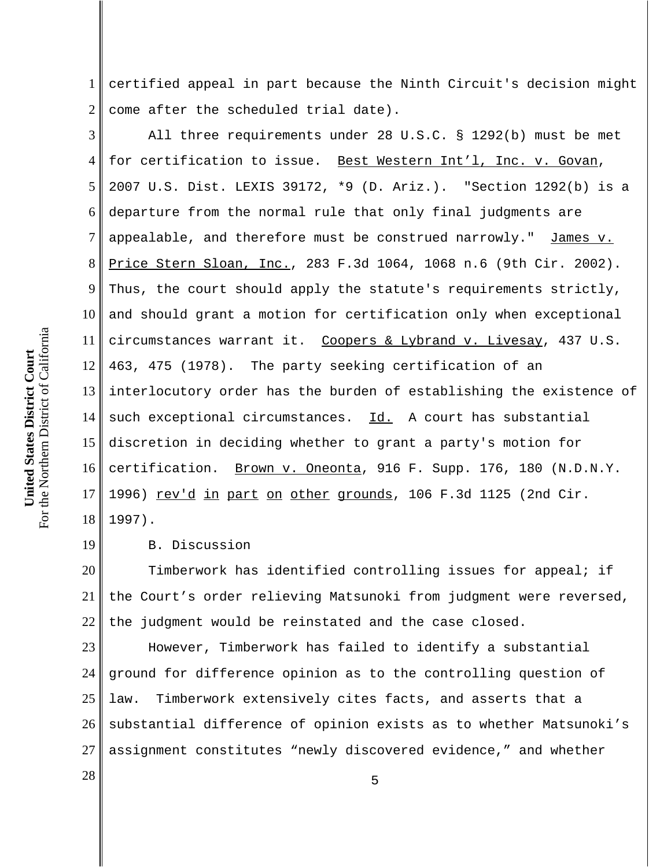1 2 certified appeal in part because the Ninth Circuit's decision might come after the scheduled trial date).

3 4 5 6 7 8 9 10 11 12 13 14 15 16 17 18 All three requirements under 28 U.S.C. § 1292(b) must be met for certification to issue. Best Western Int'l, Inc. v. Govan, 2007 U.S. Dist. LEXIS 39172, \*9 (D. Ariz.). "Section 1292(b) is a departure from the normal rule that only final judgments are appealable, and therefore must be construed narrowly." James v. Price Stern Sloan, Inc., 283 F.3d 1064, 1068 n.6 (9th Cir. 2002). Thus, the court should apply the statute's requirements strictly, and should grant a motion for certification only when exceptional circumstances warrant it. Coopers & Lybrand v. Livesay, 437 U.S. 463, 475 (1978). The party seeking certification of an interlocutory order has the burden of establishing the existence of such exceptional circumstances. Id. A court has substantial discretion in deciding whether to grant a party's motion for certification. Brown v. Oneonta, 916 F. Supp. 176, 180 (N.D.N.Y. 1996) rev'd in part on other grounds, 106 F.3d 1125 (2nd Cir. 1997).

19 B. Discussion

20 21 22 Timberwork has identified controlling issues for appeal; if the Court's order relieving Matsunoki from judgment were reversed, the judgment would be reinstated and the case closed.

23 24 25 26 27 However, Timberwork has failed to identify a substantial ground for difference opinion as to the controlling question of law. Timberwork extensively cites facts, and asserts that a substantial difference of opinion exists as to whether Matsunoki's assignment constitutes "newly discovered evidence," and whether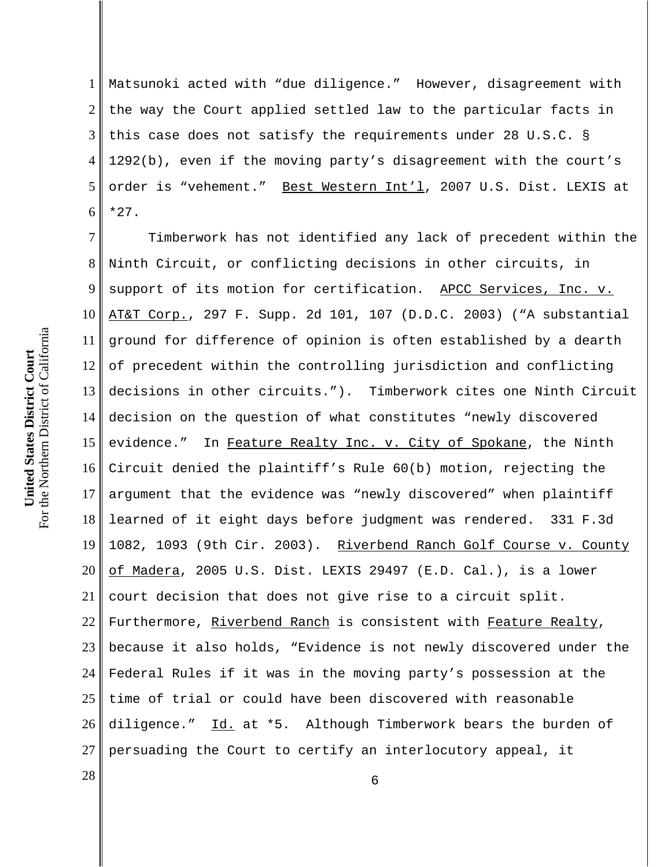1 2 3 4 5 6 Matsunoki acted with "due diligence." However, disagreement with the way the Court applied settled law to the particular facts in this case does not satisfy the requirements under 28 U.S.C. § 1292(b), even if the moving party's disagreement with the court's order is "vehement." Best Western Int'l, 2007 U.S. Dist. LEXIS at \*27.

7 8 9 10 11 12 13 14 15 16 17 18 19 20 21 22 23 24 25 26 27 Timberwork has not identified any lack of precedent within the Ninth Circuit, or conflicting decisions in other circuits, in support of its motion for certification. APCC Services, Inc. v. AT&T Corp., 297 F. Supp. 2d 101, 107 (D.D.C. 2003) ("A substantial ground for difference of opinion is often established by a dearth of precedent within the controlling jurisdiction and conflicting decisions in other circuits."). Timberwork cites one Ninth Circuit decision on the question of what constitutes "newly discovered evidence." In Feature Realty Inc. v. City of Spokane, the Ninth Circuit denied the plaintiff's Rule 60(b) motion, rejecting the argument that the evidence was "newly discovered" when plaintiff learned of it eight days before judgment was rendered. 331 F.3d 1082, 1093 (9th Cir. 2003). Riverbend Ranch Golf Course v. County of Madera, 2005 U.S. Dist. LEXIS 29497 (E.D. Cal.), is a lower court decision that does not give rise to a circuit split. Furthermore, Riverbend Ranch is consistent with Feature Realty, because it also holds, "Evidence is not newly discovered under the Federal Rules if it was in the moving party's possession at the time of trial or could have been discovered with reasonable diligence." Id. at \*5. Although Timberwork bears the burden of persuading the Court to certify an interlocutory appeal, it

 $\begin{array}{c|c|c|c|c} \hline \text{28} & \text{6} \end{array}$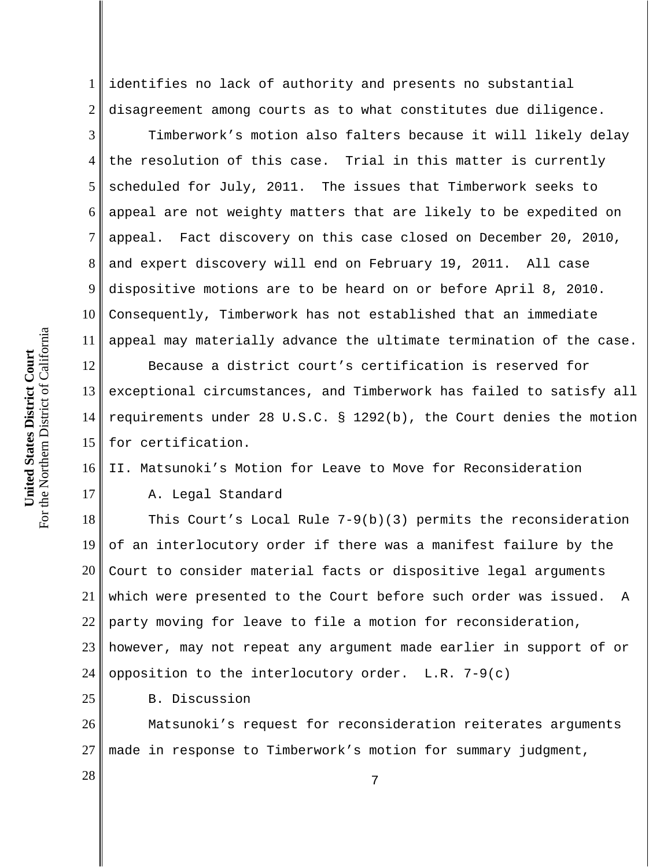1 2 identifies no lack of authority and presents no substantial disagreement among courts as to what constitutes due diligence.

3 4 5 6 7 8 9 10 11 Timberwork's motion also falters because it will likely delay the resolution of this case. Trial in this matter is currently scheduled for July, 2011. The issues that Timberwork seeks to appeal are not weighty matters that are likely to be expedited on appeal. Fact discovery on this case closed on December 20, 2010, and expert discovery will end on February 19, 2011. All case dispositive motions are to be heard on or before April 8, 2010. Consequently, Timberwork has not established that an immediate appeal may materially advance the ultimate termination of the case.

12 13 14 15 Because a district court's certification is reserved for exceptional circumstances, and Timberwork has failed to satisfy all requirements under 28 U.S.C. § 1292(b), the Court denies the motion for certification.

16 II. Matsunoki's Motion for Leave to Move for Reconsideration

A. Legal Standard

18 19 20 21 22 23 24 This Court's Local Rule 7-9(b)(3) permits the reconsideration of an interlocutory order if there was a manifest failure by the Court to consider material facts or dispositive legal arguments which were presented to the Court before such order was issued. A party moving for leave to file a motion for reconsideration, however, may not repeat any argument made earlier in support of or opposition to the interlocutory order.  $L.R. 7-9(c)$ 

B. Discussion

26 27 Matsunoki's request for reconsideration reiterates arguments made in response to Timberwork's motion for summary judgment,

For the Northern District of California For the Northern District of California United States District Court **United States District Court**

17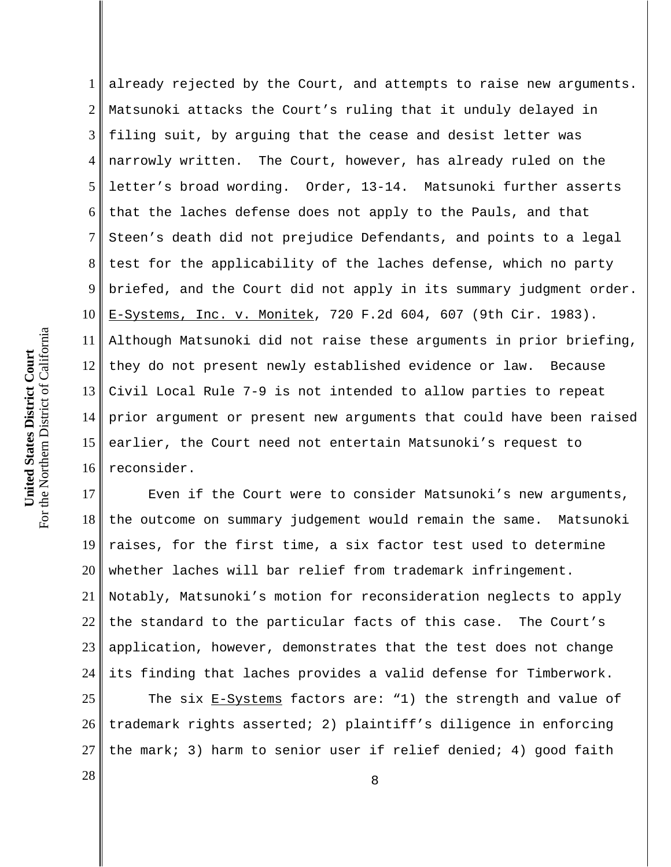1 2 3 4 5 6 7 8 9 10 11 12 13 14 15 16 already rejected by the Court, and attempts to raise new arguments. Matsunoki attacks the Court's ruling that it unduly delayed in filing suit, by arguing that the cease and desist letter was narrowly written. The Court, however, has already ruled on the letter's broad wording. Order, 13-14. Matsunoki further asserts that the laches defense does not apply to the Pauls, and that Steen's death did not prejudice Defendants, and points to a legal test for the applicability of the laches defense, which no party briefed, and the Court did not apply in its summary judgment order. E-Systems, Inc. v. Monitek, 720 F.2d 604, 607 (9th Cir. 1983). Although Matsunoki did not raise these arguments in prior briefing, they do not present newly established evidence or law. Because Civil Local Rule 7-9 is not intended to allow parties to repeat prior argument or present new arguments that could have been raised earlier, the Court need not entertain Matsunoki's request to reconsider.

17 18 19 20 21 22 23 24 Even if the Court were to consider Matsunoki's new arguments, the outcome on summary judgement would remain the same. Matsunoki raises, for the first time, a six factor test used to determine whether laches will bar relief from trademark infringement. Notably, Matsunoki's motion for reconsideration neglects to apply the standard to the particular facts of this case. The Court's application, however, demonstrates that the test does not change its finding that laches provides a valid defense for Timberwork.

25 26 27 The six E-Systems factors are: "1) the strength and value of trademark rights asserted; 2) plaintiff's diligence in enforcing the mark; 3) harm to senior user if relief denied; 4) good faith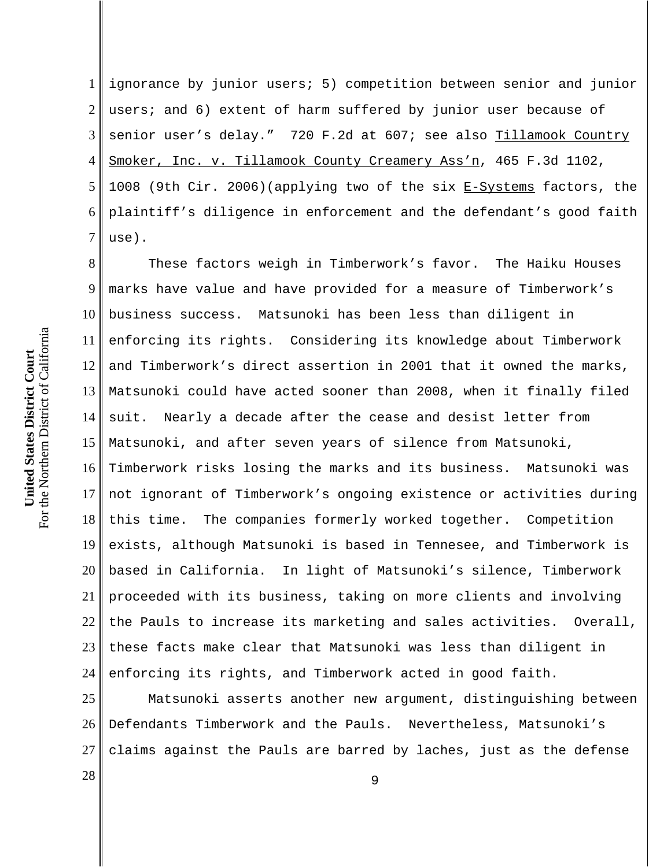1 2 3 4 5 6 7 ignorance by junior users; 5) competition between senior and junior users; and 6) extent of harm suffered by junior user because of senior user's delay." 720 F.2d at 607; see also Tillamook Country Smoker, Inc. v. Tillamook County Creamery Ass'n, 465 F.3d 1102, 1008 (9th Cir. 2006)(applying two of the six E-Systems factors, the plaintiff's diligence in enforcement and the defendant's good faith use).

8 9 10 11 12 13 14 15 16 17 18 19 20 21 22 23 24 These factors weigh in Timberwork's favor. The Haiku Houses marks have value and have provided for a measure of Timberwork's business success. Matsunoki has been less than diligent in enforcing its rights. Considering its knowledge about Timberwork and Timberwork's direct assertion in 2001 that it owned the marks, Matsunoki could have acted sooner than 2008, when it finally filed suit. Nearly a decade after the cease and desist letter from Matsunoki, and after seven years of silence from Matsunoki, Timberwork risks losing the marks and its business. Matsunoki was not ignorant of Timberwork's ongoing existence or activities during this time. The companies formerly worked together. Competition exists, although Matsunoki is based in Tennesee, and Timberwork is based in California. In light of Matsunoki's silence, Timberwork proceeded with its business, taking on more clients and involving the Pauls to increase its marketing and sales activities. Overall, these facts make clear that Matsunoki was less than diligent in enforcing its rights, and Timberwork acted in good faith.

25 26 27 Matsunoki asserts another new argument, distinguishing between Defendants Timberwork and the Pauls. Nevertheless, Matsunoki's claims against the Pauls are barred by laches, just as the defense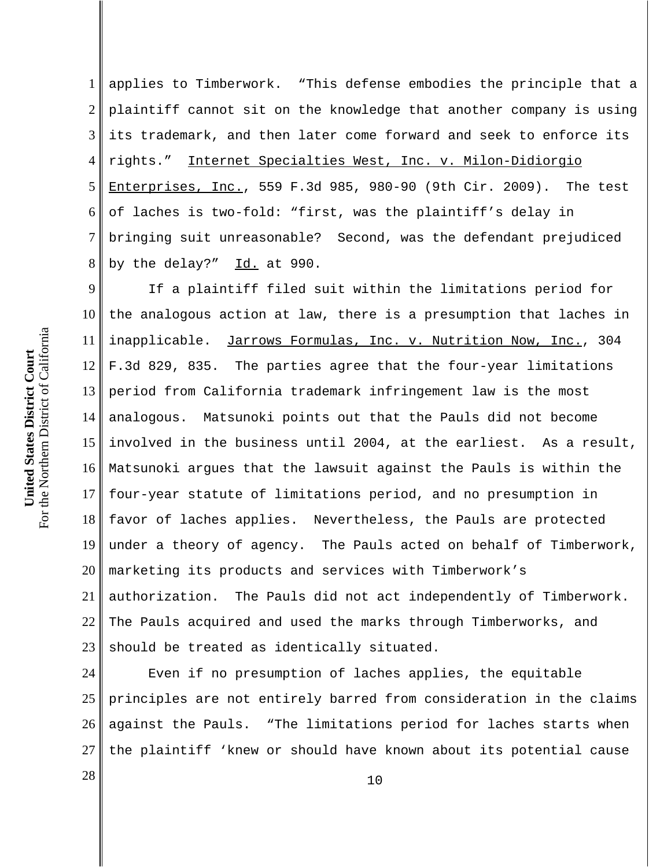1 2 3 4 5 6 7 8 applies to Timberwork. "This defense embodies the principle that a plaintiff cannot sit on the knowledge that another company is using its trademark, and then later come forward and seek to enforce its rights." Internet Specialties West, Inc. v. Milon-Didiorgio Enterprises, Inc., 559 F.3d 985, 980-90 (9th Cir. 2009). The test of laches is two-fold: "first, was the plaintiff's delay in bringing suit unreasonable? Second, was the defendant prejudiced by the delay?"  $Id.$  at 990.

9 10 11 12 13 14 15 16 17 18 19 20 21 22 23 If a plaintiff filed suit within the limitations period for the analogous action at law, there is a presumption that laches in inapplicable. Jarrows Formulas, Inc. v. Nutrition Now, Inc., 304 F.3d 829, 835. The parties agree that the four-year limitations period from California trademark infringement law is the most analogous. Matsunoki points out that the Pauls did not become involved in the business until 2004, at the earliest. As a result, Matsunoki argues that the lawsuit against the Pauls is within the four-year statute of limitations period, and no presumption in favor of laches applies. Nevertheless, the Pauls are protected under a theory of agency. The Pauls acted on behalf of Timberwork, marketing its products and services with Timberwork's authorization. The Pauls did not act independently of Timberwork. The Pauls acquired and used the marks through Timberworks, and should be treated as identically situated.

24 25 26 27 Even if no presumption of laches applies, the equitable principles are not entirely barred from consideration in the claims against the Pauls. "The limitations period for laches starts when the plaintiff 'knew or should have known about its potential cause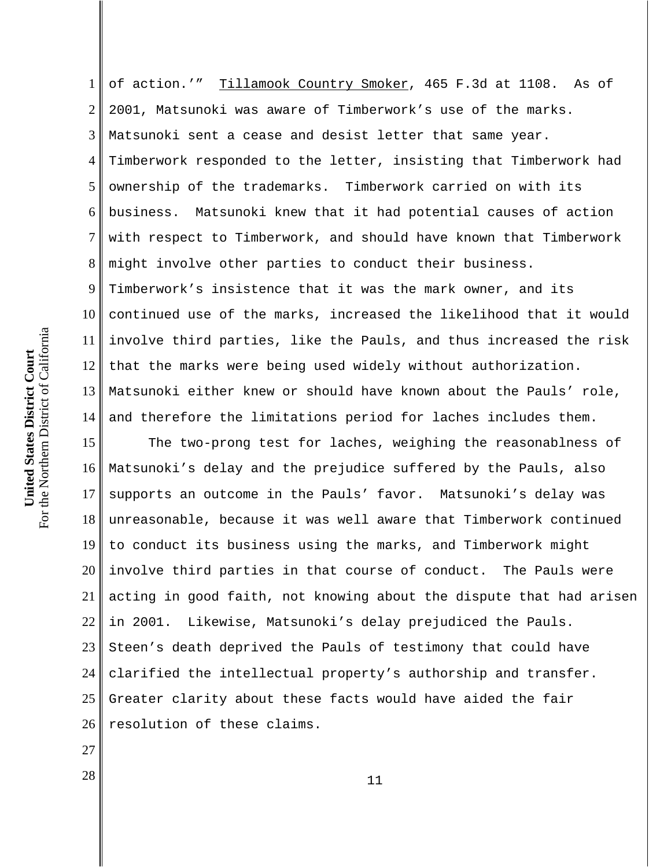1 2 3 4 5 6 7 8 9 10 11 12 13 14 of action.'" Tillamook Country Smoker, 465 F.3d at 1108. As of 2001, Matsunoki was aware of Timberwork's use of the marks. Matsunoki sent a cease and desist letter that same year. Timberwork responded to the letter, insisting that Timberwork had ownership of the trademarks. Timberwork carried on with its business. Matsunoki knew that it had potential causes of action with respect to Timberwork, and should have known that Timberwork might involve other parties to conduct their business. Timberwork's insistence that it was the mark owner, and its continued use of the marks, increased the likelihood that it would involve third parties, like the Pauls, and thus increased the risk that the marks were being used widely without authorization. Matsunoki either knew or should have known about the Pauls' role, and therefore the limitations period for laches includes them.

15 16 17 18 19 20 21 22 23 24 25 26 The two-prong test for laches, weighing the reasonablness of Matsunoki's delay and the prejudice suffered by the Pauls, also supports an outcome in the Pauls' favor. Matsunoki's delay was unreasonable, because it was well aware that Timberwork continued to conduct its business using the marks, and Timberwork might involve third parties in that course of conduct. The Pauls were acting in good faith, not knowing about the dispute that had arisen in 2001. Likewise, Matsunoki's delay prejudiced the Pauls. Steen's death deprived the Pauls of testimony that could have clarified the intellectual property's authorship and transfer. Greater clarity about these facts would have aided the fair resolution of these claims.